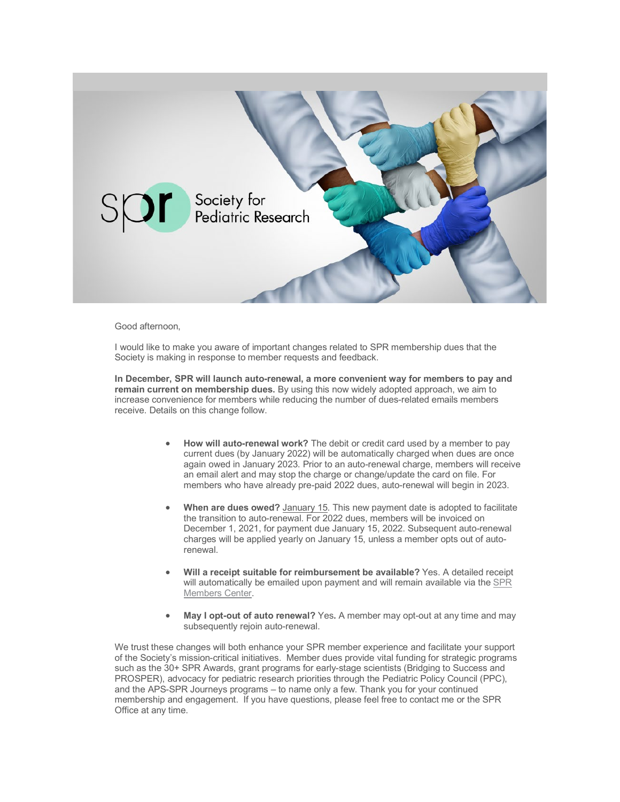

## Good afternoon,

I would like to make you aware of important changes related to SPR membership dues that the Society is making in response to member requests and feedback.

**In December, SPR will launch auto-renewal, a more convenient way for members to pay and remain current on membership dues.** By using this now widely adopted approach, we aim to increase convenience for members while reducing the number of dues-related emails members receive. Details on this change follow.

- **How will auto-renewal work?** The debit or credit card used by a member to pay current dues (by January 2022) will be automatically charged when dues are once again owed in January 2023. Prior to an auto-renewal charge, members will receive an email alert and may stop the charge or change/update the card on file. For members who have already pre-paid 2022 dues, auto-renewal will begin in 2023.
- **When are dues owed?** January 15. This new payment date is adopted to facilitate the transition to auto-renewal. For 2022 dues, members will be invoiced on December 1, 2021, for payment due January 15, 2022. Subsequent auto-renewal charges will be applied yearly on January 15, unless a member opts out of autorenewal.
- **Will a receipt suitable for reimbursement be available?** Yes. A detailed receipt will automatically be emailed upon payment and will remain available via the [SPR](https://pediatricsocieties.lt.acemlnc.com/Prod/link-tracker?notrack=1&redirectUrl=aHR0cHMlM0ElMkYlMkZ3d3cuc29jaWV0eWZvcnBlZGlhdHJpY3Jlc2VhcmNoLm9yZyUyRmxvZ2luJTJGJTNGdXRtX3NvdXJjZSUzREFjdGl2ZUNhbXBhaWduJTI2dXRtX21lZGl1bSUzRGVtYWlsJTI2dXRtX2NvbnRlbnQlM0RJbXBvcnRhbnQlMkJDaGFuZ2VzJTJCdG8lMkJZb3VyJTJCU1BSJTJCRHVlcyUyNnV0bV9jYW1wYWlnbiUzRDIwMjElMkI5JTJCMjIlMkItJTJCTm90aWZpY2F0aW9uJTJCb2YlMkIyMDIyJTJCRHVlcw==&sig=E8qM5FCMuBdW45Vp8wS7wrgChFLrkitGCsQS97r29Ec7&iat=1653496486&a=%7C%7C798711481%7C%7C&account=pediatricsocieties%2Eactivehosted%2Ecom&email=p4tPBDM9bdVhMBB%2FGPaeILvIbp6b6E%2FrjPQPzAji91%2BKH3kyeAQujtuZQvRFPbfm&s=a9cd3b5dae1ad7927f02e18d3824a342&i=1643A8197A258A93030)  [Members Center.](https://pediatricsocieties.lt.acemlnc.com/Prod/link-tracker?notrack=1&redirectUrl=aHR0cHMlM0ElMkYlMkZ3d3cuc29jaWV0eWZvcnBlZGlhdHJpY3Jlc2VhcmNoLm9yZyUyRmxvZ2luJTJGJTNGdXRtX3NvdXJjZSUzREFjdGl2ZUNhbXBhaWduJTI2dXRtX21lZGl1bSUzRGVtYWlsJTI2dXRtX2NvbnRlbnQlM0RJbXBvcnRhbnQlMkJDaGFuZ2VzJTJCdG8lMkJZb3VyJTJCU1BSJTJCRHVlcyUyNnV0bV9jYW1wYWlnbiUzRDIwMjElMkI5JTJCMjIlMkItJTJCTm90aWZpY2F0aW9uJTJCb2YlMkIyMDIyJTJCRHVlcw==&sig=E8qM5FCMuBdW45Vp8wS7wrgChFLrkitGCsQS97r29Ec7&iat=1653496486&a=%7C%7C798711481%7C%7C&account=pediatricsocieties%2Eactivehosted%2Ecom&email=p4tPBDM9bdVhMBB%2FGPaeILvIbp6b6E%2FrjPQPzAji91%2BKH3kyeAQujtuZQvRFPbfm&s=a9cd3b5dae1ad7927f02e18d3824a342&i=1643A8197A258A93030)
- **May I opt-out of auto renewal?** Yes**.** A member may opt-out at any time and may subsequently rejoin auto-renewal.

We trust these changes will both enhance your SPR member experience and facilitate your support of the Society's mission-critical initiatives. Member dues provide vital funding for strategic programs such as the 30+ SPR Awards, grant programs for early-stage scientists (Bridging to Success and PROSPER), advocacy for pediatric research priorities through the Pediatric Policy Council (PPC), and the APS-SPR Journeys programs – to name only a few. Thank you for your continued membership and engagement. If you have questions, please feel free to contact me or the SPR Office at any time.